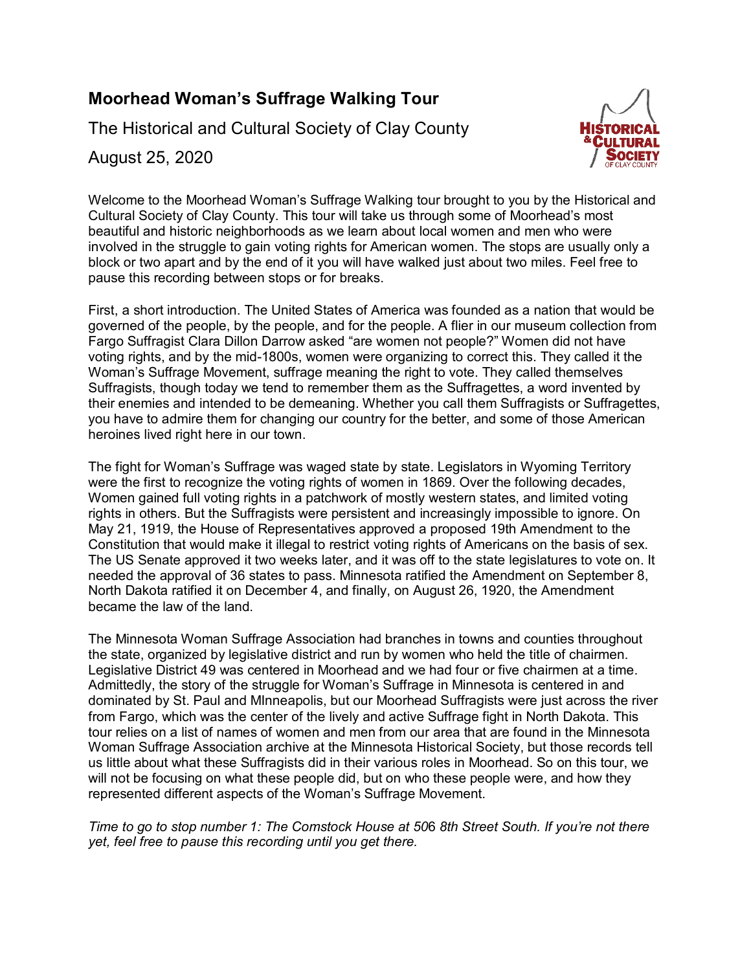# **Moorhead Woman's Suffrage Walking Tour**

The Historical and Cultural Society of Clay County



August 25, 2020

Welcome to the Moorhead Woman's Suffrage Walking tour brought to you by the Historical and Cultural Society of Clay County. This tour will take us through some of Moorhead's most beautiful and historic neighborhoods as we learn about local women and men who were involved in the struggle to gain voting rights for American women. The stops are usually only a block or two apart and by the end of it you will have walked just about two miles. Feel free to pause this recording between stops or for breaks.

First, a short introduction. The United States of America was founded as a nation that would be governed of the people, by the people, and for the people. A flier in our museum collection from Fargo Suffragist Clara Dillon Darrow asked "are women not people?" Women did not have voting rights, and by the mid-1800s, women were organizing to correct this. They called it the Woman's Suffrage Movement, suffrage meaning the right to vote. They called themselves Suffragists, though today we tend to remember them as the Suffragettes, a word invented by their enemies and intended to be demeaning. Whether you call them Suffragists or Suffragettes, you have to admire them for changing our country for the better, and some of those American heroines lived right here in our town.

The fight for Woman's Suffrage was waged state by state. Legislators in Wyoming Territory were the first to recognize the voting rights of women in 1869. Over the following decades, Women gained full voting rights in a patchwork of mostly western states, and limited voting rights in others. But the Suffragists were persistent and increasingly impossible to ignore. On May 21, 1919, the House of Representatives approved a proposed 19th Amendment to the Constitution that would make it illegal to restrict voting rights of Americans on the basis of sex. The US Senate approved it two weeks later, and it was off to the state legislatures to vote on. It needed the approval of 36 states to pass. Minnesota ratified the Amendment on September 8, North Dakota ratified it on December 4, and finally, on August 26, 1920, the Amendment became the law of the land.

The Minnesota Woman Suffrage Association had branches in towns and counties throughout the state, organized by legislative district and run by women who held the title of chairmen. Legislative District 49 was centered in Moorhead and we had four or five chairmen at a time. Admittedly, the story of the struggle for Woman's Suffrage in Minnesota is centered in and dominated by St. Paul and MInneapolis, but our Moorhead Suffragists were just across the river from Fargo, which was the center of the lively and active Suffrage fight in North Dakota. This tour relies on a list of names of women and men from our area that are found in the Minnesota Woman Suffrage Association archive at the Minnesota Historical Society, but those records tell us little about what these Suffragists did in their various roles in Moorhead. So on this tour, we will not be focusing on what these people did, but on who these people were, and how they represented different aspects of the Woman's Suffrage Movement.

*Time to go to stop number 1: The Comstock House at 50*6 *8th Street South. If you're not there yet, feel free to pause this recording until you get there.*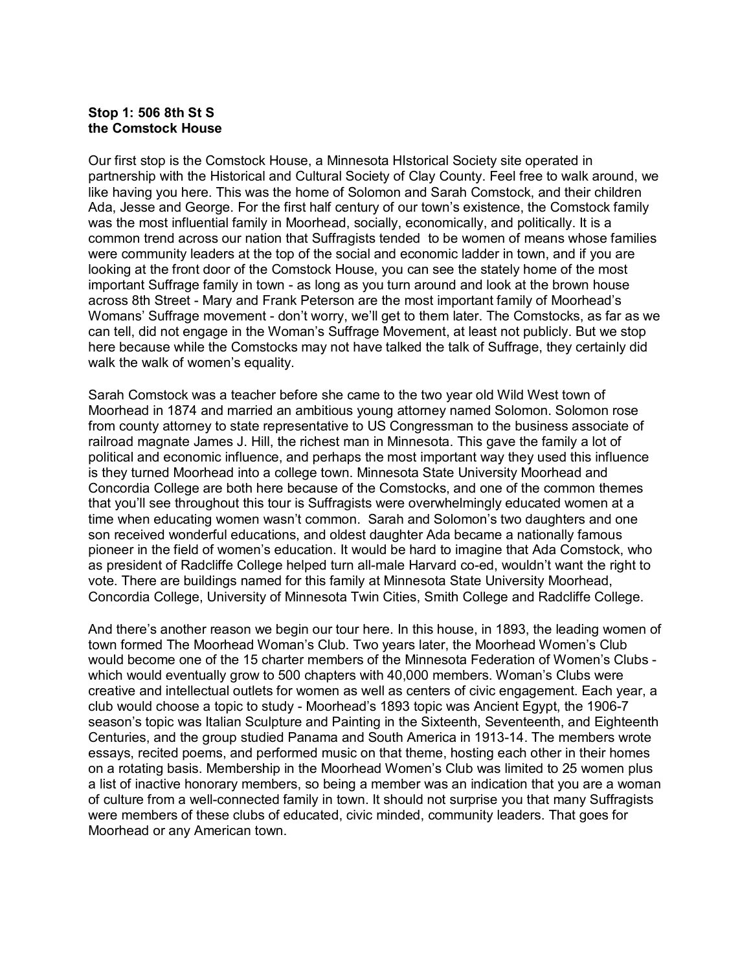### **Stop 1: 506 8th St S the Comstock House**

Our first stop is the Comstock House, a Minnesota HIstorical Society site operated in partnership with the Historical and Cultural Society of Clay County. Feel free to walk around, we like having you here. This was the home of Solomon and Sarah Comstock, and their children Ada, Jesse and George. For the first half century of our town's existence, the Comstock family was the most influential family in Moorhead, socially, economically, and politically. It is a common trend across our nation that Suffragists tended to be women of means whose families were community leaders at the top of the social and economic ladder in town, and if you are looking at the front door of the Comstock House, you can see the stately home of the most important Suffrage family in town - as long as you turn around and look at the brown house across 8th Street - Mary and Frank Peterson are the most important family of Moorhead's Womans' Suffrage movement - don't worry, we'll get to them later. The Comstocks, as far as we can tell, did not engage in the Woman's Suffrage Movement, at least not publicly. But we stop here because while the Comstocks may not have talked the talk of Suffrage, they certainly did walk the walk of women's equality.

Sarah Comstock was a teacher before she came to the two year old Wild West town of Moorhead in 1874 and married an ambitious young attorney named Solomon. Solomon rose from county attorney to state representative to US Congressman to the business associate of railroad magnate James J. Hill, the richest man in Minnesota. This gave the family a lot of political and economic influence, and perhaps the most important way they used this influence is they turned Moorhead into a college town. Minnesota State University Moorhead and Concordia College are both here because of the Comstocks, and one of the common themes that you'll see throughout this tour is Suffragists were overwhelmingly educated women at a time when educating women wasn't common. Sarah and Solomon's two daughters and one son received wonderful educations, and oldest daughter Ada became a nationally famous pioneer in the field of women's education. It would be hard to imagine that Ada Comstock, who as president of Radcliffe College helped turn all-male Harvard co-ed, wouldn't want the right to vote. There are buildings named for this family at Minnesota State University Moorhead, Concordia College, University of Minnesota Twin Cities, Smith College and Radcliffe College.

And there's another reason we begin our tour here. In this house, in 1893, the leading women of town formed The Moorhead Woman's Club. Two years later, the Moorhead Women's Club would become one of the 15 charter members of the Minnesota Federation of Women's Clubs which would eventually grow to 500 chapters with 40,000 members. Woman's Clubs were creative and intellectual outlets for women as well as centers of civic engagement. Each year, a club would choose a topic to study - Moorhead's 1893 topic was Ancient Egypt, the 1906-7 season's topic was Italian Sculpture and Painting in the Sixteenth, Seventeenth, and Eighteenth Centuries, and the group studied Panama and South America in 1913-14. The members wrote essays, recited poems, and performed music on that theme, hosting each other in their homes on a rotating basis. Membership in the Moorhead Women's Club was limited to 25 women plus a list of inactive honorary members, so being a member was an indication that you are a woman of culture from a well-connected family in town. It should not surprise you that many Suffragists were members of these clubs of educated, civic minded, community leaders. That goes for Moorhead or any American town.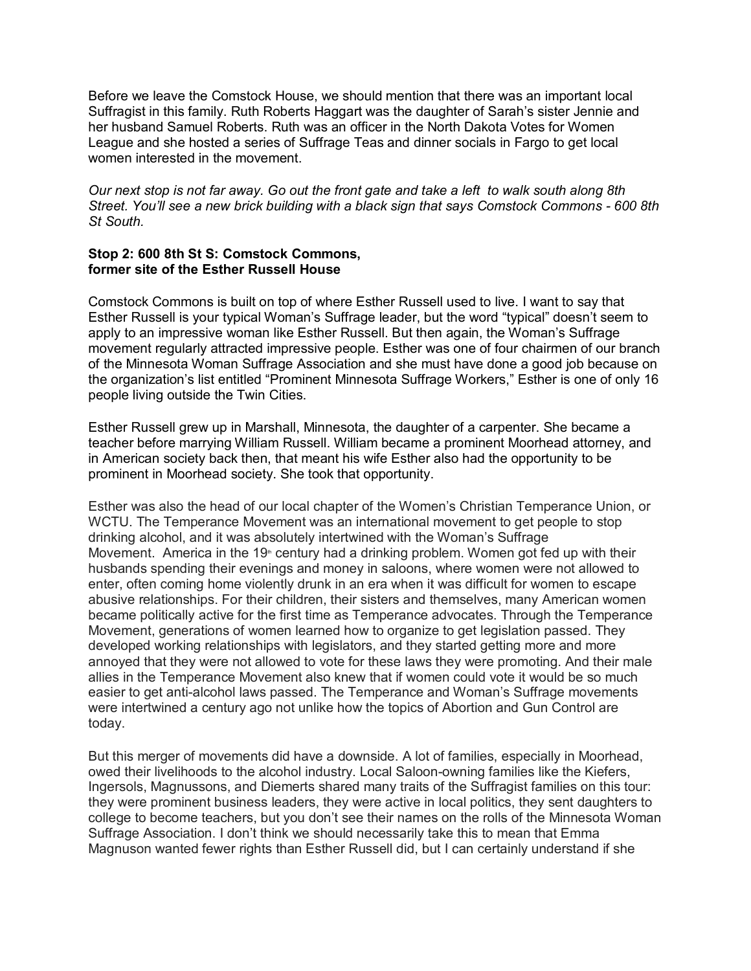Before we leave the Comstock House, we should mention that there was an important local Suffragist in this family. Ruth Roberts Haggart was the daughter of Sarah's sister Jennie and her husband Samuel Roberts. Ruth was an officer in the North Dakota Votes for Women League and she hosted a series of Suffrage Teas and dinner socials in Fargo to get local women interested in the movement.

*Our next stop is not far away. Go out the front gate and take a left to walk south along 8th Street. You'll see a new brick building with a black sign that says Comstock Commons - 600 8th St South.*

## **Stop 2: 600 8th St S: Comstock Commons, former site of the Esther Russell House**

Comstock Commons is built on top of where Esther Russell used to live. I want to say that Esther Russell is your typical Woman's Suffrage leader, but the word "typical" doesn't seem to apply to an impressive woman like Esther Russell. But then again, the Woman's Suffrage movement regularly attracted impressive people. Esther was one of four chairmen of our branch of the Minnesota Woman Suffrage Association and she must have done a good job because on the organization's list entitled "Prominent Minnesota Suffrage Workers," Esther is one of only 16 people living outside the Twin Cities.

Esther Russell grew up in Marshall, Minnesota, the daughter of a carpenter. She became a teacher before marrying William Russell. William became a prominent Moorhead attorney, and in American society back then, that meant his wife Esther also had the opportunity to be prominent in Moorhead society. She took that opportunity.

Esther was also the head of our local chapter of the Women's Christian Temperance Union, or WCTU. The Temperance Movement was an international movement to get people to stop drinking alcohol, and it was absolutely intertwined with the Woman's Suffrage Movement. America in the 19<sup>th</sup> century had a drinking problem. Women got fed up with their husbands spending their evenings and money in saloons, where women were not allowed to enter, often coming home violently drunk in an era when it was difficult for women to escape abusive relationships. For their children, their sisters and themselves, many American women became politically active for the first time as Temperance advocates. Through the Temperance Movement, generations of women learned how to organize to get legislation passed. They developed working relationships with legislators, and they started getting more and more annoyed that they were not allowed to vote for these laws they were promoting. And their male allies in the Temperance Movement also knew that if women could vote it would be so much easier to get anti-alcohol laws passed. The Temperance and Woman's Suffrage movements were intertwined a century ago not unlike how the topics of Abortion and Gun Control are today.

But this merger of movements did have a downside. A lot of families, especially in Moorhead, owed their livelihoods to the alcohol industry. Local Saloon-owning families like the Kiefers, Ingersols, Magnussons, and Diemerts shared many traits of the Suffragist families on this tour: they were prominent business leaders, they were active in local politics, they sent daughters to college to become teachers, but you don't see their names on the rolls of the Minnesota Woman Suffrage Association. I don't think we should necessarily take this to mean that Emma Magnuson wanted fewer rights than Esther Russell did, but I can certainly understand if she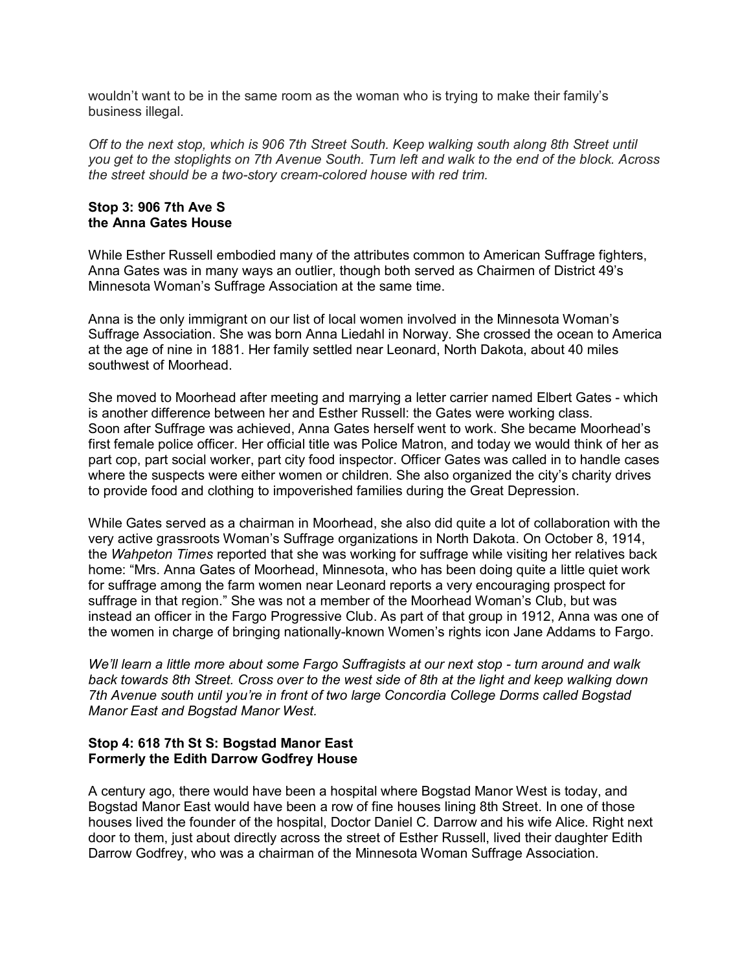wouldn't want to be in the same room as the woman who is trying to make their family's business illegal.

*Off to the next stop, which is 906 7th Street South. Keep walking south along 8th Street until you get to the stoplights on 7th Avenue South. Turn left and walk to the end of the block. Across the street should be a two-story cream-colored house with red trim.*

## **Stop 3: 906 7th Ave S the Anna Gates House**

While Esther Russell embodied many of the attributes common to American Suffrage fighters, Anna Gates was in many ways an outlier, though both served as Chairmen of District 49's Minnesota Woman's Suffrage Association at the same time.

Anna is the only immigrant on our list of local women involved in the Minnesota Woman's Suffrage Association. She was born Anna Liedahl in Norway. She crossed the ocean to America at the age of nine in 1881. Her family settled near Leonard, North Dakota, about 40 miles southwest of Moorhead.

She moved to Moorhead after meeting and marrying a letter carrier named Elbert Gates - which is another difference between her and Esther Russell: the Gates were working class. Soon after Suffrage was achieved, Anna Gates herself went to work. She became Moorhead's first female police officer. Her official title was Police Matron, and today we would think of her as part cop, part social worker, part city food inspector. Officer Gates was called in to handle cases where the suspects were either women or children. She also organized the city's charity drives to provide food and clothing to impoverished families during the Great Depression.

While Gates served as a chairman in Moorhead, she also did quite a lot of collaboration with the very active grassroots Woman's Suffrage organizations in North Dakota. On October 8, 1914, the *Wahpeton Times* reported that she was working for suffrage while visiting her relatives back home: "Mrs. Anna Gates of Moorhead, Minnesota, who has been doing quite a little quiet work for suffrage among the farm women near Leonard reports a very encouraging prospect for suffrage in that region." She was not a member of the Moorhead Woman's Club, but was instead an officer in the Fargo Progressive Club. As part of that group in 1912, Anna was one of the women in charge of bringing nationally-known Women's rights icon Jane Addams to Fargo.

*We'll learn a little more about some Fargo Suffragists at our next stop - turn around and walk back towards 8th Street. Cross over to the west side of 8th at the light and keep walking down 7th Avenue south until you're in front of two large Concordia College Dorms called Bogstad Manor East and Bogstad Manor West.*

## **Stop 4: 618 7th St S: Bogstad Manor East Formerly the Edith Darrow Godfrey House**

A century ago, there would have been a hospital where Bogstad Manor West is today, and Bogstad Manor East would have been a row of fine houses lining 8th Street. In one of those houses lived the founder of the hospital, Doctor Daniel C. Darrow and his wife Alice. Right next door to them, just about directly across the street of Esther Russell, lived their daughter Edith Darrow Godfrey, who was a chairman of the Minnesota Woman Suffrage Association.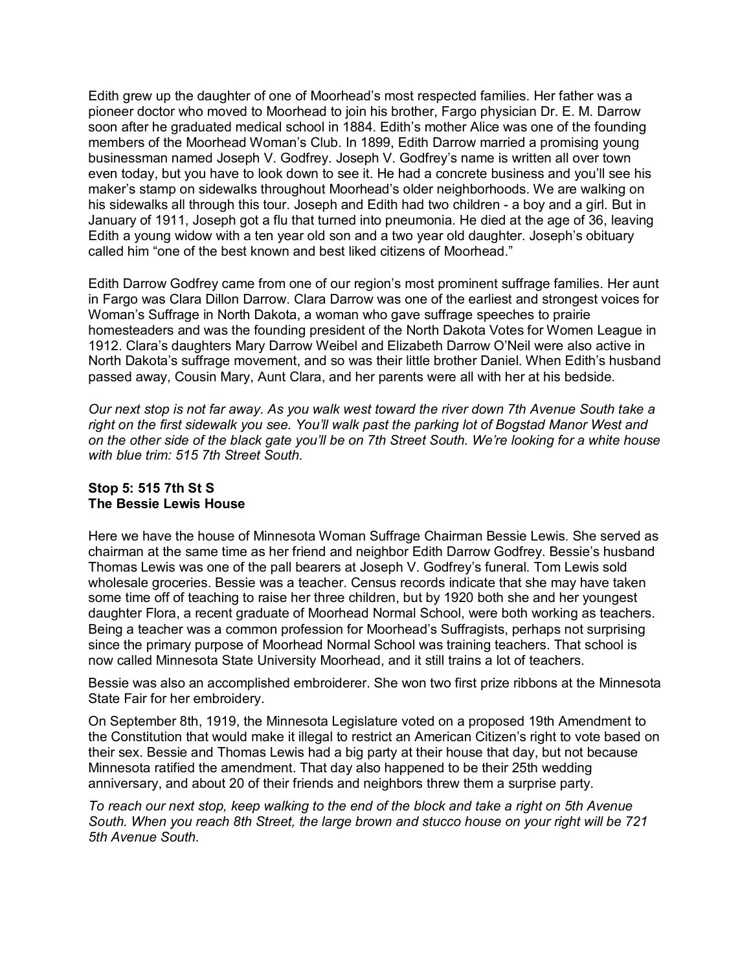Edith grew up the daughter of one of Moorhead's most respected families. Her father was a pioneer doctor who moved to Moorhead to join his brother, Fargo physician Dr. E. M. Darrow soon after he graduated medical school in 1884. Edith's mother Alice was one of the founding members of the Moorhead Woman's Club. In 1899, Edith Darrow married a promising young businessman named Joseph V. Godfrey. Joseph V. Godfrey's name is written all over town even today, but you have to look down to see it. He had a concrete business and you'll see his maker's stamp on sidewalks throughout Moorhead's older neighborhoods. We are walking on his sidewalks all through this tour. Joseph and Edith had two children - a boy and a girl. But in January of 1911, Joseph got a flu that turned into pneumonia. He died at the age of 36, leaving Edith a young widow with a ten year old son and a two year old daughter. Joseph's obituary called him "one of the best known and best liked citizens of Moorhead."

Edith Darrow Godfrey came from one of our region's most prominent suffrage families. Her aunt in Fargo was Clara Dillon Darrow. Clara Darrow was one of the earliest and strongest voices for Woman's Suffrage in North Dakota, a woman who gave suffrage speeches to prairie homesteaders and was the founding president of the North Dakota Votes for Women League in 1912. Clara's daughters Mary Darrow Weibel and Elizabeth Darrow O'Neil were also active in North Dakota's suffrage movement, and so was their little brother Daniel. When Edith's husband passed away, Cousin Mary, Aunt Clara, and her parents were all with her at his bedside.

*Our next stop is not far away. As you walk west toward the river down 7th Avenue South take a right on the first sidewalk you see. You'll walk past the parking lot of Bogstad Manor West and on the other side of the black gate you'll be on 7th Street South. We're looking for a white house with blue trim: 515 7th Street South.*

## **Stop 5: 515 7th St S The Bessie Lewis House**

Here we have the house of Minnesota Woman Suffrage Chairman Bessie Lewis. She served as chairman at the same time as her friend and neighbor Edith Darrow Godfrey. Bessie's husband Thomas Lewis was one of the pall bearers at Joseph V. Godfrey's funeral. Tom Lewis sold wholesale groceries. Bessie was a teacher. Census records indicate that she may have taken some time off of teaching to raise her three children, but by 1920 both she and her youngest daughter Flora, a recent graduate of Moorhead Normal School, were both working as teachers. Being a teacher was a common profession for Moorhead's Suffragists, perhaps not surprising since the primary purpose of Moorhead Normal School was training teachers. That school is now called Minnesota State University Moorhead, and it still trains a lot of teachers.

Bessie was also an accomplished embroiderer. She won two first prize ribbons at the Minnesota State Fair for her embroidery.

On September 8th, 1919, the Minnesota Legislature voted on a proposed 19th Amendment to the Constitution that would make it illegal to restrict an American Citizen's right to vote based on their sex. Bessie and Thomas Lewis had a big party at their house that day, but not because Minnesota ratified the amendment. That day also happened to be their 25th wedding anniversary, and about 20 of their friends and neighbors threw them a surprise party.

*To reach our next stop, keep walking to the end of the block and take a right on 5th Avenue South. When you reach 8th Street, the large brown and stucco house on your right will be 721 5th Avenue South.*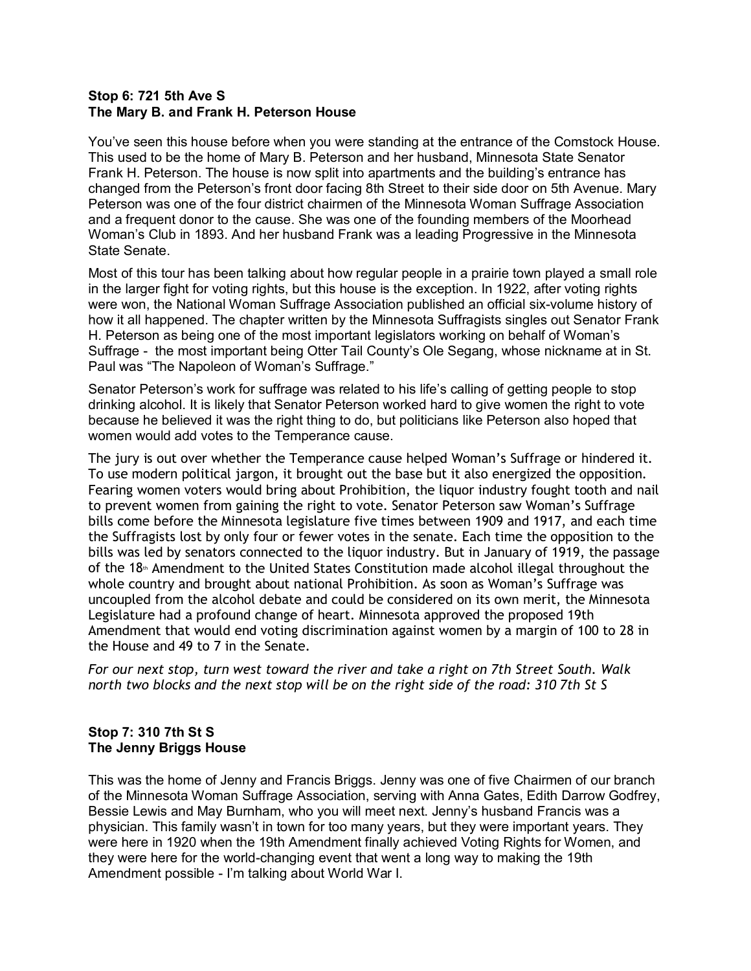#### **Stop 6: 721 5th Ave S The Mary B. and Frank H. Peterson House**

You've seen this house before when you were standing at the entrance of the Comstock House. This used to be the home of Mary B. Peterson and her husband, Minnesota State Senator Frank H. Peterson. The house is now split into apartments and the building's entrance has changed from the Peterson's front door facing 8th Street to their side door on 5th Avenue. Mary Peterson was one of the four district chairmen of the Minnesota Woman Suffrage Association and a frequent donor to the cause. She was one of the founding members of the Moorhead Woman's Club in 1893. And her husband Frank was a leading Progressive in the Minnesota State Senate.

Most of this tour has been talking about how regular people in a prairie town played a small role in the larger fight for voting rights, but this house is the exception. In 1922, after voting rights were won, the National Woman Suffrage Association published an official six-volume history of how it all happened. The chapter written by the Minnesota Suffragists singles out Senator Frank H. Peterson as being one of the most important legislators working on behalf of Woman's Suffrage - the most important being Otter Tail County's Ole Segang, whose nickname at in St. Paul was "The Napoleon of Woman's Suffrage."

Senator Peterson's work for suffrage was related to his life's calling of getting people to stop drinking alcohol. It is likely that Senator Peterson worked hard to give women the right to vote because he believed it was the right thing to do, but politicians like Peterson also hoped that women would add votes to the Temperance cause.

The jury is out over whether the Temperance cause helped Woman's Suffrage or hindered it. To use modern political jargon, it brought out the base but it also energized the opposition. Fearing women voters would bring about Prohibition, the liquor industry fought tooth and nail to prevent women from gaining the right to vote. Senator Peterson saw Woman's Suffrage bills come before the Minnesota legislature five times between 1909 and 1917, and each time the Suffragists lost by only four or fewer votes in the senate. Each time the opposition to the bills was led by senators connected to the liquor industry. But in January of 1919, the passage of the 18<sup>th</sup> Amendment to the United States Constitution made alcohol illegal throughout the whole country and brought about national Prohibition. As soon as Woman's Suffrage was uncoupled from the alcohol debate and could be considered on its own merit, the Minnesota Legislature had a profound change of heart. Minnesota approved the proposed 19th Amendment that would end voting discrimination against women by a margin of 100 to 28 in the House and 49 to 7 in the Senate.

*For our next stop, turn west toward the river and take a right on 7th Street South. Walk north two blocks and the next stop will be on the right side of the road: 310 7th St S*

# **Stop 7: 310 7th St S The Jenny Briggs House**

This was the home of Jenny and Francis Briggs. Jenny was one of five Chairmen of our branch of the Minnesota Woman Suffrage Association, serving with Anna Gates, Edith Darrow Godfrey, Bessie Lewis and May Burnham, who you will meet next. Jenny's husband Francis was a physician. This family wasn't in town for too many years, but they were important years. They were here in 1920 when the 19th Amendment finally achieved Voting Rights for Women, and they were here for the world-changing event that went a long way to making the 19th Amendment possible - I'm talking about World War I.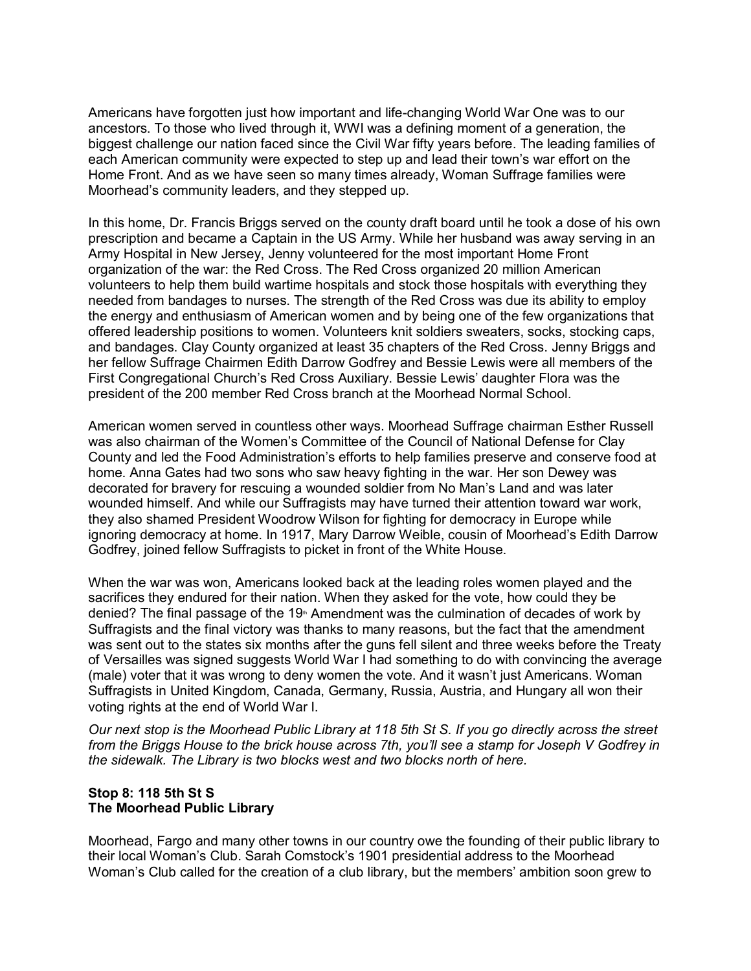Americans have forgotten just how important and life-changing World War One was to our ancestors. To those who lived through it, WWI was a defining moment of a generation, the biggest challenge our nation faced since the Civil War fifty years before. The leading families of each American community were expected to step up and lead their town's war effort on the Home Front. And as we have seen so many times already, Woman Suffrage families were Moorhead's community leaders, and they stepped up.

In this home, Dr. Francis Briggs served on the county draft board until he took a dose of his own prescription and became a Captain in the US Army. While her husband was away serving in an Army Hospital in New Jersey, Jenny volunteered for the most important Home Front organization of the war: the Red Cross. The Red Cross organized 20 million American volunteers to help them build wartime hospitals and stock those hospitals with everything they needed from bandages to nurses. The strength of the Red Cross was due its ability to employ the energy and enthusiasm of American women and by being one of the few organizations that offered leadership positions to women. Volunteers knit soldiers sweaters, socks, stocking caps, and bandages. Clay County organized at least 35 chapters of the Red Cross. Jenny Briggs and her fellow Suffrage Chairmen Edith Darrow Godfrey and Bessie Lewis were all members of the First Congregational Church's Red Cross Auxiliary. Bessie Lewis' daughter Flora was the president of the 200 member Red Cross branch at the Moorhead Normal School.

American women served in countless other ways. Moorhead Suffrage chairman Esther Russell was also chairman of the Women's Committee of the Council of National Defense for Clay County and led the Food Administration's efforts to help families preserve and conserve food at home. Anna Gates had two sons who saw heavy fighting in the war. Her son Dewey was decorated for bravery for rescuing a wounded soldier from No Man's Land and was later wounded himself. And while our Suffragists may have turned their attention toward war work, they also shamed President Woodrow Wilson for fighting for democracy in Europe while ignoring democracy at home. In 1917, Mary Darrow Weible, cousin of Moorhead's Edith Darrow Godfrey, joined fellow Suffragists to picket in front of the White House.

When the war was won, Americans looked back at the leading roles women played and the sacrifices they endured for their nation. When they asked for the vote, how could they be denied? The final passage of the 19<sup>th</sup> Amendment was the culmination of decades of work by Suffragists and the final victory was thanks to many reasons, but the fact that the amendment was sent out to the states six months after the guns fell silent and three weeks before the Treaty of Versailles was signed suggests World War I had something to do with convincing the average (male) voter that it was wrong to deny women the vote. And it wasn't just Americans. Woman Suffragists in United Kingdom, Canada, Germany, Russia, Austria, and Hungary all won their voting rights at the end of World War I.

*Our next stop is the Moorhead Public Library at 118 5th St S. If you go directly across the street from the Briggs House to the brick house across 7th, you'll see a stamp for Joseph V Godfrey in the sidewalk. The Library is two blocks west and two blocks north of here.* 

## **Stop 8: 118 5th St S The Moorhead Public Library**

Moorhead, Fargo and many other towns in our country owe the founding of their public library to their local Woman's Club. Sarah Comstock's 1901 presidential address to the Moorhead Woman's Club called for the creation of a club library, but the members' ambition soon grew to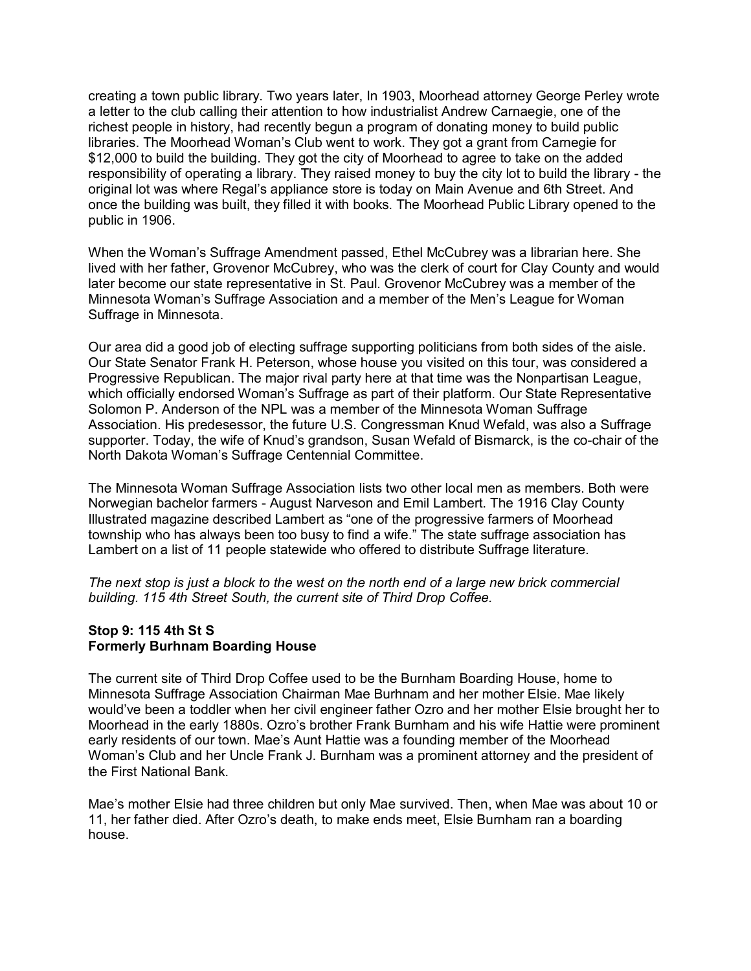creating a town public library. Two years later, In 1903, Moorhead attorney George Perley wrote a letter to the club calling their attention to how industrialist Andrew Carnaegie, one of the richest people in history, had recently begun a program of donating money to build public libraries. The Moorhead Woman's Club went to work. They got a grant from Carnegie for \$12,000 to build the building. They got the city of Moorhead to agree to take on the added responsibility of operating a library. They raised money to buy the city lot to build the library - the original lot was where Regal's appliance store is today on Main Avenue and 6th Street. And once the building was built, they filled it with books. The Moorhead Public Library opened to the public in 1906.

When the Woman's Suffrage Amendment passed, Ethel McCubrey was a librarian here. She lived with her father, Grovenor McCubrey, who was the clerk of court for Clay County and would later become our state representative in St. Paul. Grovenor McCubrey was a member of the Minnesota Woman's Suffrage Association and a member of the Men's League for Woman Suffrage in Minnesota.

Our area did a good job of electing suffrage supporting politicians from both sides of the aisle. Our State Senator Frank H. Peterson, whose house you visited on this tour, was considered a Progressive Republican. The major rival party here at that time was the Nonpartisan League, which officially endorsed Woman's Suffrage as part of their platform. Our State Representative Solomon P. Anderson of the NPL was a member of the Minnesota Woman Suffrage Association. His predesessor, the future U.S. Congressman Knud Wefald, was also a Suffrage supporter. Today, the wife of Knud's grandson, Susan Wefald of Bismarck, is the co-chair of the North Dakota Woman's Suffrage Centennial Committee.

The Minnesota Woman Suffrage Association lists two other local men as members. Both were Norwegian bachelor farmers - August Narveson and Emil Lambert. The 1916 Clay County Illustrated magazine described Lambert as "one of the progressive farmers of Moorhead township who has always been too busy to find a wife." The state suffrage association has Lambert on a list of 11 people statewide who offered to distribute Suffrage literature.

*The next stop is just a block to the west on the north end of a large new brick commercial building. 115 4th Street South, the current site of Third Drop Coffee.*

## **Stop 9: 115 4th St S Formerly Burhnam Boarding House**

The current site of Third Drop Coffee used to be the Burnham Boarding House, home to Minnesota Suffrage Association Chairman Mae Burhnam and her mother Elsie. Mae likely would've been a toddler when her civil engineer father Ozro and her mother Elsie brought her to Moorhead in the early 1880s. Ozro's brother Frank Burnham and his wife Hattie were prominent early residents of our town. Mae's Aunt Hattie was a founding member of the Moorhead Woman's Club and her Uncle Frank J. Burnham was a prominent attorney and the president of the First National Bank.

Mae's mother Elsie had three children but only Mae survived. Then, when Mae was about 10 or 11, her father died. After Ozro's death, to make ends meet, Elsie Burnham ran a boarding house.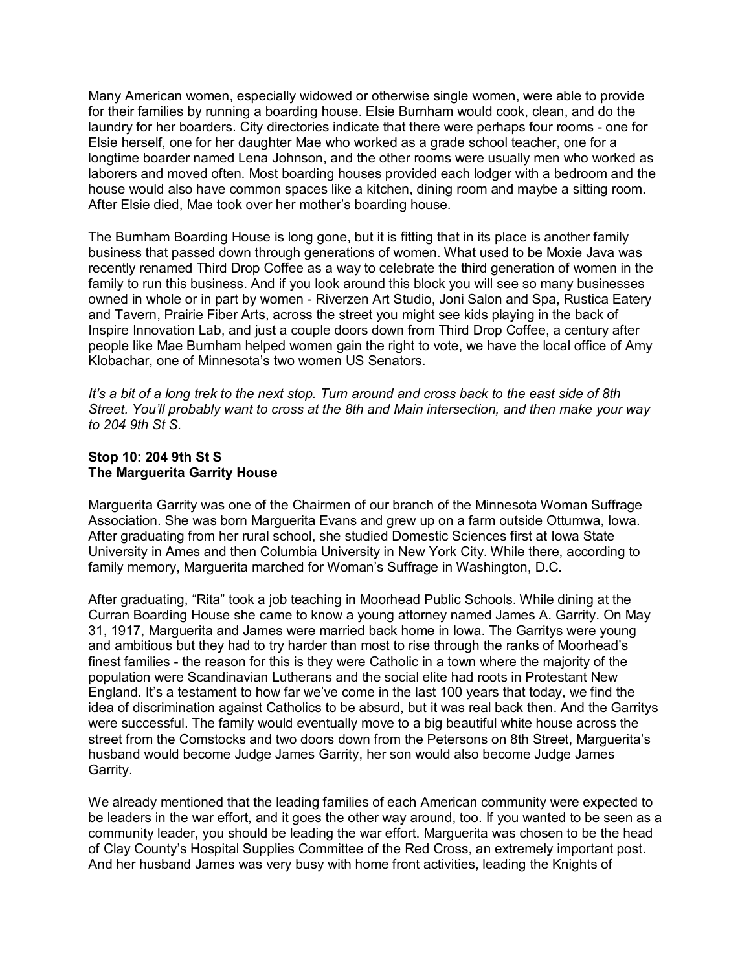Many American women, especially widowed or otherwise single women, were able to provide for their families by running a boarding house. Elsie Burnham would cook, clean, and do the laundry for her boarders. City directories indicate that there were perhaps four rooms - one for Elsie herself, one for her daughter Mae who worked as a grade school teacher, one for a longtime boarder named Lena Johnson, and the other rooms were usually men who worked as laborers and moved often. Most boarding houses provided each lodger with a bedroom and the house would also have common spaces like a kitchen, dining room and maybe a sitting room. After Elsie died, Mae took over her mother's boarding house.

The Burnham Boarding House is long gone, but it is fitting that in its place is another family business that passed down through generations of women. What used to be Moxie Java was recently renamed Third Drop Coffee as a way to celebrate the third generation of women in the family to run this business. And if you look around this block you will see so many businesses owned in whole or in part by women - Riverzen Art Studio, Joni Salon and Spa, Rustica Eatery and Tavern, Prairie Fiber Arts, across the street you might see kids playing in the back of Inspire Innovation Lab, and just a couple doors down from Third Drop Coffee, a century after people like Mae Burnham helped women gain the right to vote, we have the local office of Amy Klobachar, one of Minnesota's two women US Senators.

*It's a bit of a long trek to the next stop. Turn around and cross back to the east side of 8th Street. You'll probably want to cross at the 8th and Main intersection, and then make your way to 204 9th St S.*

#### **Stop 10: 204 9th St S The Marguerita Garrity House**

Marguerita Garrity was one of the Chairmen of our branch of the Minnesota Woman Suffrage Association. She was born Marguerita Evans and grew up on a farm outside Ottumwa, Iowa. After graduating from her rural school, she studied Domestic Sciences first at Iowa State University in Ames and then Columbia University in New York City. While there, according to family memory, Marguerita marched for Woman's Suffrage in Washington, D.C.

After graduating, "Rita" took a job teaching in Moorhead Public Schools. While dining at the Curran Boarding House she came to know a young attorney named James A. Garrity. On May 31, 1917, Marguerita and James were married back home in Iowa. The Garritys were young and ambitious but they had to try harder than most to rise through the ranks of Moorhead's finest families - the reason for this is they were Catholic in a town where the majority of the population were Scandinavian Lutherans and the social elite had roots in Protestant New England. It's a testament to how far we've come in the last 100 years that today, we find the idea of discrimination against Catholics to be absurd, but it was real back then. And the Garritys were successful. The family would eventually move to a big beautiful white house across the street from the Comstocks and two doors down from the Petersons on 8th Street, Marguerita's husband would become Judge James Garrity, her son would also become Judge James Garrity.

We already mentioned that the leading families of each American community were expected to be leaders in the war effort, and it goes the other way around, too. If you wanted to be seen as a community leader, you should be leading the war effort. Marguerita was chosen to be the head of Clay County's Hospital Supplies Committee of the Red Cross, an extremely important post. And her husband James was very busy with home front activities, leading the Knights of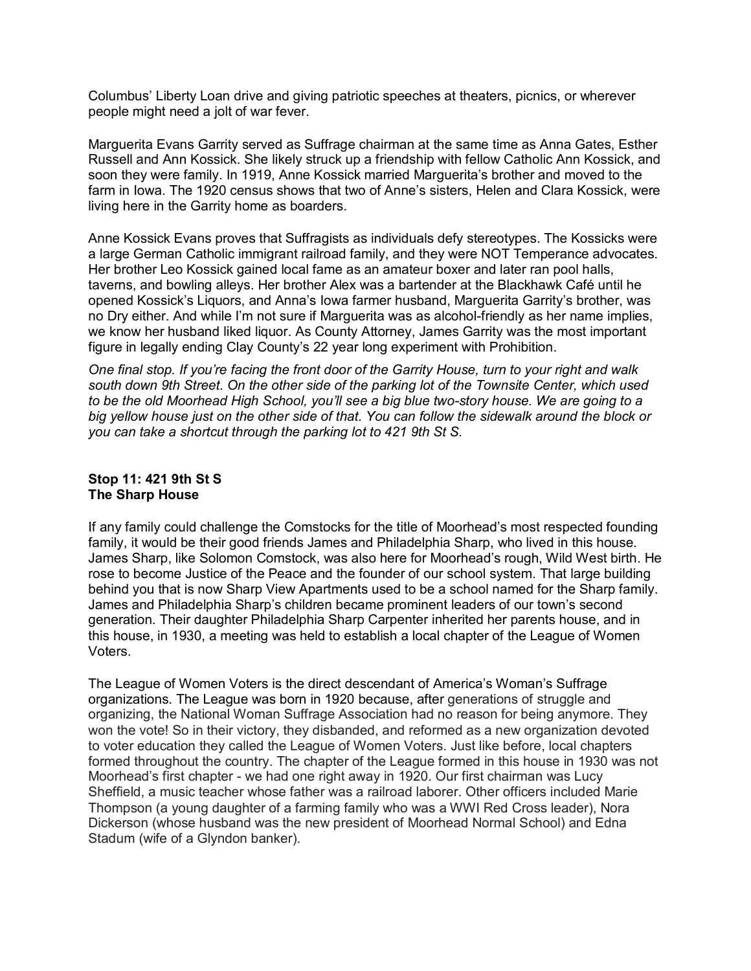Columbus' Liberty Loan drive and giving patriotic speeches at theaters, picnics, or wherever people might need a jolt of war fever.

Marguerita Evans Garrity served as Suffrage chairman at the same time as Anna Gates, Esther Russell and Ann Kossick. She likely struck up a friendship with fellow Catholic Ann Kossick, and soon they were family. In 1919, Anne Kossick married Marguerita's brother and moved to the farm in Iowa. The 1920 census shows that two of Anne's sisters, Helen and Clara Kossick, were living here in the Garrity home as boarders.

Anne Kossick Evans proves that Suffragists as individuals defy stereotypes. The Kossicks were a large German Catholic immigrant railroad family, and they were NOT Temperance advocates. Her brother Leo Kossick gained local fame as an amateur boxer and later ran pool halls, taverns, and bowling alleys. Her brother Alex was a bartender at the Blackhawk Café until he opened Kossick's Liquors, and Anna's Iowa farmer husband, Marguerita Garrity's brother, was no Dry either. And while I'm not sure if Marguerita was as alcohol-friendly as her name implies, we know her husband liked liquor. As County Attorney, James Garrity was the most important figure in legally ending Clay County's 22 year long experiment with Prohibition.

*One final stop. If you're facing the front door of the Garrity House, turn to your right and walk south down 9th Street. On the other side of the parking lot of the Townsite Center, which used to be the old Moorhead High School, you'll see a big blue two-story house. We are going to a big yellow house just on the other side of that. You can follow the sidewalk around the block or you can take a shortcut through the parking lot to 421 9th St S.*

# **Stop 11: 421 9th St S The Sharp House**

If any family could challenge the Comstocks for the title of Moorhead's most respected founding family, it would be their good friends James and Philadelphia Sharp, who lived in this house. James Sharp, like Solomon Comstock, was also here for Moorhead's rough, Wild West birth. He rose to become Justice of the Peace and the founder of our school system. That large building behind you that is now Sharp View Apartments used to be a school named for the Sharp family. James and Philadelphia Sharp's children became prominent leaders of our town's second generation. Their daughter Philadelphia Sharp Carpenter inherited her parents house, and in this house, in 1930, a meeting was held to establish a local chapter of the League of Women Voters.

The League of Women Voters is the direct descendant of America's Woman's Suffrage organizations. The League was born in 1920 because, after generations of struggle and organizing, the National Woman Suffrage Association had no reason for being anymore. They won the vote! So in their victory, they disbanded, and reformed as a new organization devoted to voter education they called the League of Women Voters. Just like before, local chapters formed throughout the country. The chapter of the League formed in this house in 1930 was not Moorhead's first chapter - we had one right away in 1920. Our first chairman was Lucy Sheffield, a music teacher whose father was a railroad laborer. Other officers included Marie Thompson (a young daughter of a farming family who was a WWI Red Cross leader), Nora Dickerson (whose husband was the new president of Moorhead Normal School) and Edna Stadum (wife of a Glyndon banker).